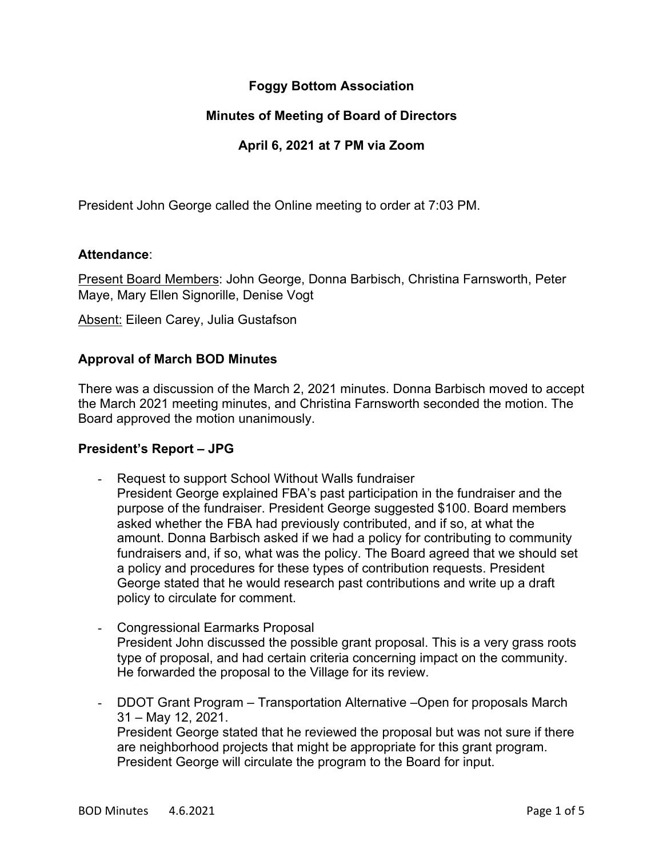# **Foggy Bottom Association**

# **Minutes of Meeting of Board of Directors**

# **April 6, 2021 at 7 PM via Zoom**

President John George called the Online meeting to order at 7:03 PM.

#### **Attendance**:

Present Board Members: John George, Donna Barbisch, Christina Farnsworth, Peter Maye, Mary Ellen Signorille, Denise Vogt

Absent: Eileen Carey, Julia Gustafson

#### **Approval of March BOD Minutes**

There was a discussion of the March 2, 2021 minutes. Donna Barbisch moved to accept the March 2021 meeting minutes, and Christina Farnsworth seconded the motion. The Board approved the motion unanimously.

#### **President's Report – JPG**

- Request to support School Without Walls fundraiser President George explained FBA's past participation in the fundraiser and the purpose of the fundraiser. President George suggested \$100. Board members asked whether the FBA had previously contributed, and if so, at what the amount. Donna Barbisch asked if we had a policy for contributing to community fundraisers and, if so, what was the policy. The Board agreed that we should set a policy and procedures for these types of contribution requests. President George stated that he would research past contributions and write up a draft policy to circulate for comment.
- Congressional Earmarks Proposal President John discussed the possible grant proposal. This is a very grass roots type of proposal, and had certain criteria concerning impact on the community. He forwarded the proposal to the Village for its review.
- DDOT Grant Program Transportation Alternative –Open for proposals March 31 – May 12, 2021. President George stated that he reviewed the proposal but was not sure if there are neighborhood projects that might be appropriate for this grant program. President George will circulate the program to the Board for input.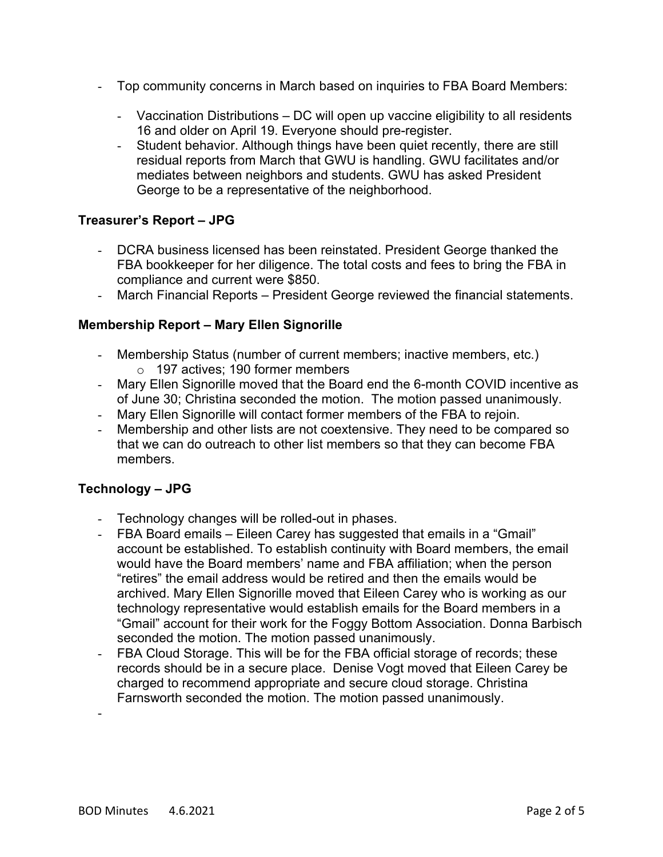- Top community concerns in March based on inquiries to FBA Board Members:
	- Vaccination Distributions DC will open up vaccine eligibility to all residents 16 and older on April 19. Everyone should pre-register.
	- Student behavior. Although things have been quiet recently, there are still residual reports from March that GWU is handling. GWU facilitates and/or mediates between neighbors and students. GWU has asked President George to be a representative of the neighborhood.

# **Treasurer's Report – JPG**

- DCRA business licensed has been reinstated. President George thanked the FBA bookkeeper for her diligence. The total costs and fees to bring the FBA in compliance and current were \$850.
- March Financial Reports President George reviewed the financial statements.

### **Membership Report – Mary Ellen Signorille**

- Membership Status (number of current members; inactive members, etc.) o 197 actives; 190 former members
- Mary Ellen Signorille moved that the Board end the 6-month COVID incentive as of June 30; Christina seconded the motion. The motion passed unanimously.
- Mary Ellen Signorille will contact former members of the FBA to rejoin.
- Membership and other lists are not coextensive. They need to be compared so that we can do outreach to other list members so that they can become FBA members.

### **Technology – JPG**

- Technology changes will be rolled-out in phases.
- FBA Board emails Eileen Carey has suggested that emails in a "Gmail" account be established. To establish continuity with Board members, the email would have the Board members' name and FBA affiliation; when the person "retires" the email address would be retired and then the emails would be archived. Mary Ellen Signorille moved that Eileen Carey who is working as our technology representative would establish emails for the Board members in a "Gmail" account for their work for the Foggy Bottom Association. Donna Barbisch seconded the motion. The motion passed unanimously.
- FBA Cloud Storage. This will be for the FBA official storage of records; these records should be in a secure place. Denise Vogt moved that Eileen Carey be charged to recommend appropriate and secure cloud storage. Christina Farnsworth seconded the motion. The motion passed unanimously.

-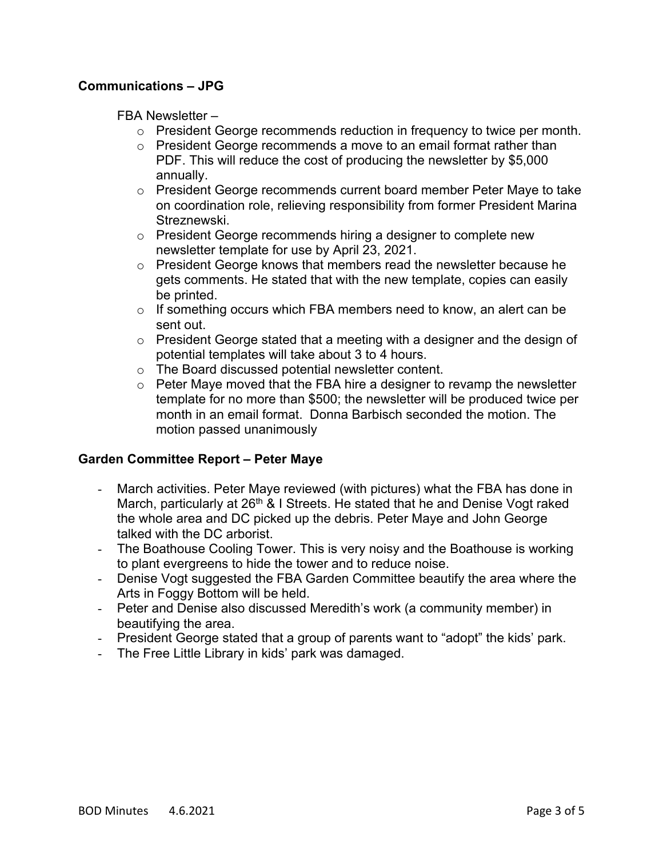# **Communications – JPG**

FBA Newsletter –

- o President George recommends reduction in frequency to twice per month.
- o President George recommends a move to an email format rather than PDF. This will reduce the cost of producing the newsletter by \$5,000 annually.
- o President George recommends current board member Peter Maye to take on coordination role, relieving responsibility from former President Marina Streznewski.
- o President George recommends hiring a designer to complete new newsletter template for use by April 23, 2021.
- o President George knows that members read the newsletter because he gets comments. He stated that with the new template, copies can easily be printed.
- o If something occurs which FBA members need to know, an alert can be sent out.
- $\circ$  President George stated that a meeting with a designer and the design of potential templates will take about 3 to 4 hours.
- o The Board discussed potential newsletter content.
- o Peter Maye moved that the FBA hire a designer to revamp the newsletter template for no more than \$500; the newsletter will be produced twice per month in an email format. Donna Barbisch seconded the motion. The motion passed unanimously

### **Garden Committee Report – Peter Maye**

- March activities. Peter Maye reviewed (with pictures) what the FBA has done in March, particularly at  $26<sup>th</sup>$  & I Streets. He stated that he and Denise Vogt raked the whole area and DC picked up the debris. Peter Maye and John George talked with the DC arborist.
- The Boathouse Cooling Tower. This is very noisy and the Boathouse is working to plant evergreens to hide the tower and to reduce noise.
- Denise Vogt suggested the FBA Garden Committee beautify the area where the Arts in Foggy Bottom will be held.
- Peter and Denise also discussed Meredith's work (a community member) in beautifying the area.
- President George stated that a group of parents want to "adopt" the kids' park.
- The Free Little Library in kids' park was damaged.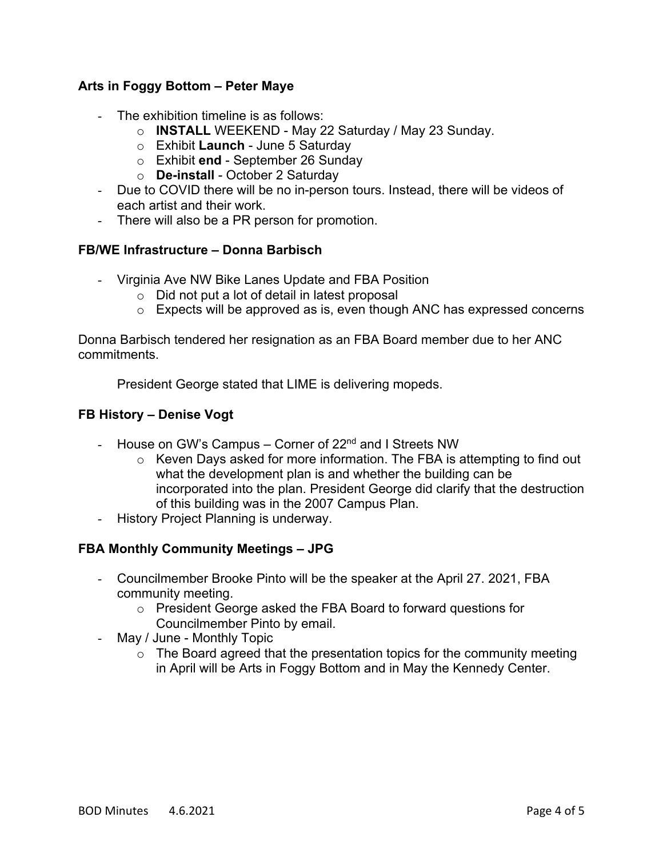# **Arts in Foggy Bottom – Peter Maye**

- The exhibition timeline is as follows:
	- o **INSTALL** WEEKEND May 22 Saturday / May 23 Sunday.
	- o Exhibit **Launch** June 5 Saturday
	- o Exhibit **end** September 26 Sunday
	- o **De-install** October 2 Saturday
- Due to COVID there will be no in-person tours. Instead, there will be videos of each artist and their work.
- There will also be a PR person for promotion.

### **FB/WE Infrastructure – Donna Barbisch**

- Virginia Ave NW Bike Lanes Update and FBA Position
	- o Did not put a lot of detail in latest proposal
	- o Expects will be approved as is, even though ANC has expressed concerns

Donna Barbisch tendered her resignation as an FBA Board member due to her ANC commitments.

President George stated that LIME is delivering mopeds.

### **FB History – Denise Vogt**

- House on GW's Campus Corner of 22<sup>nd</sup> and I Streets NW
	- o Keven Days asked for more information. The FBA is attempting to find out what the development plan is and whether the building can be incorporated into the plan. President George did clarify that the destruction of this building was in the 2007 Campus Plan.
- History Project Planning is underway.

### **FBA Monthly Community Meetings – JPG**

- Councilmember Brooke Pinto will be the speaker at the April 27. 2021, FBA community meeting.
	- o President George asked the FBA Board to forward questions for Councilmember Pinto by email.
- May / June Monthly Topic
	- $\circ$  The Board agreed that the presentation topics for the community meeting in April will be Arts in Foggy Bottom and in May the Kennedy Center.